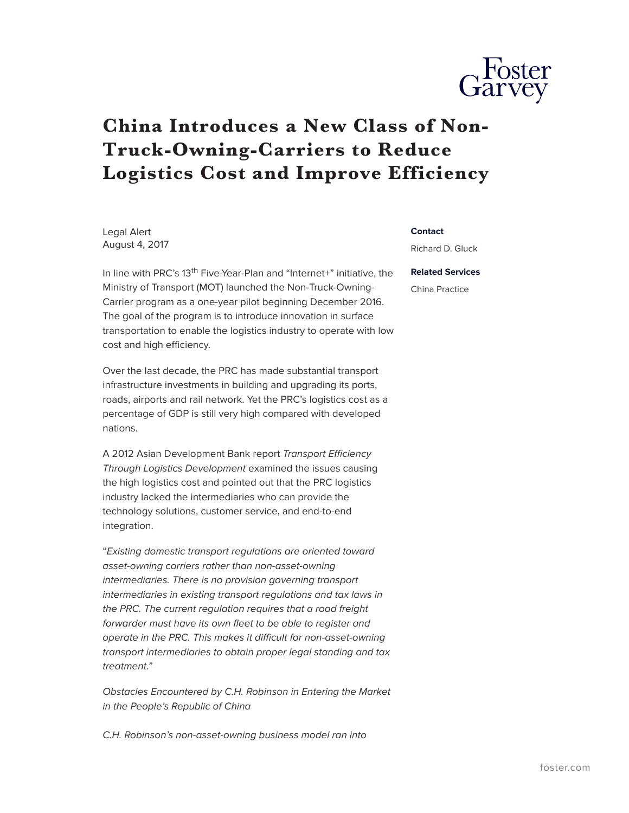

## **China Introduces a New Class of Non-Truck-Owning-Carriers to Reduce Logistics Cost and Improve Efficiency**

Legal Alert August 4, 2017

In line with PRC's 13<sup>th</sup> Five-Year-Plan and "Internet+" initiative, the Ministry of Transport (MOT) launched the Non-Truck-Owning-Carrier program as a one-year pilot beginning December 2016. The goal of the program is to introduce innovation in surface transportation to enable the logistics industry to operate with low cost and high efficiency.

Over the last decade, the PRC has made substantial transport infrastructure investments in building and upgrading its ports, roads, airports and rail network. Yet the PRC's logistics cost as a percentage of GDP is still very high compared with developed nations.

A 2012 Asian Development Bank report *Transport Efficiency Through Logistics Development* examined the issues causing the high logistics cost and pointed out that the PRC logistics industry lacked the intermediaries who can provide the technology solutions, customer service, and end-to-end integration.

"*Existing domestic transport regulations are oriented toward asset-owning carriers rather than non-asset-owning intermediaries. There is no provision governing transport intermediaries in existing transport regulations and tax laws in the PRC. The current regulation requires that a road freight forwarder must have its own fleet to be able to register and operate in the PRC. This makes it difficult for non-asset-owning transport intermediaries to obtain proper legal standing and tax treatment."*

*Obstacles Encountered by C.H. Robinson in Entering the Market in the People's Republic of China*

*C.H. Robinson's non-asset-owning business model ran into*

## **Contact**

Richard D. Gluck

**Related Services** China Practice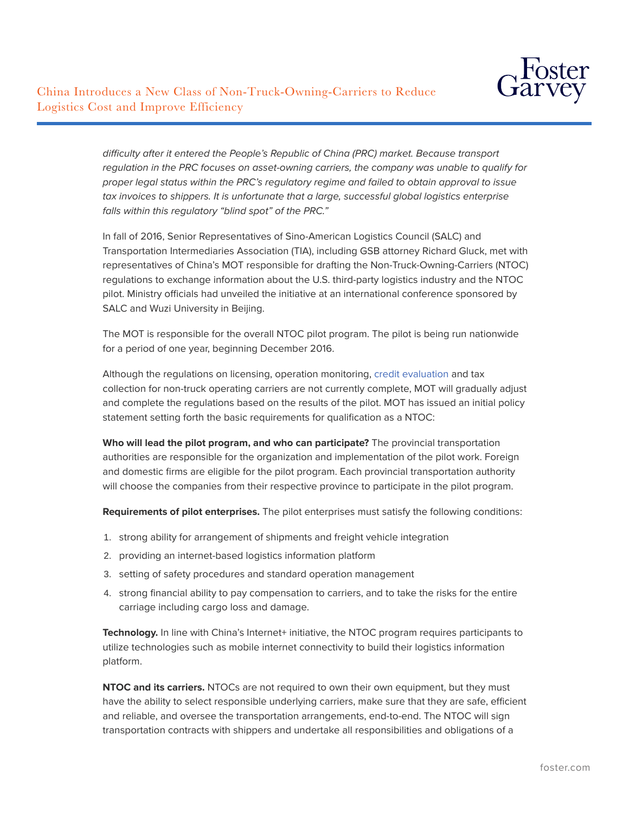

*difficulty after it entered the People's Republic of China (PRC) market. Because transport regulation in the PRC focuses on asset-owning carriers, the company was unable to qualify for proper legal status within the PRC's regulatory regime and failed to obtain approval to issue tax invoices to shippers. It is unfortunate that a large, successful global logistics enterprise falls within this regulatory "blind spot" of the PRC."*

In fall of 2016, Senior Representatives of Sino-American Logistics Council (SALC) and Transportation Intermediaries Association (TIA), including GSB attorney Richard Gluck, met with representatives of China's MOT responsible for drafting the Non-Truck-Owning-Carriers (NTOC) regulations to exchange information about the U.S. third-party logistics industry and the NTOC pilot. Ministry officials had unveiled the initiative at an international conference sponsored by SALC and Wuzi University in Beijing.

The MOT is responsible for the overall NTOC pilot program. The pilot is being run nationwide for a period of one year, beginning December 2016.

Although the regulations on licensing, operation monitoring, [credit evaluation](http://dict.cn/credibility%20ethical%20evaluation) and tax collection for non-truck operating carriers are not currently complete, MOT will gradually adjust and complete the regulations based on the results of the pilot. MOT has issued an initial policy statement setting forth the basic requirements for qualification as a NTOC:

**Who will lead the pilot program, and who can participate?** The provincial transportation authorities are responsible for the organization and implementation of the pilot work. Foreign and domestic firms are eligible for the pilot program. Each provincial transportation authority will choose the companies from their respective province to participate in the pilot program.

**Requirements of pilot enterprises.** The pilot enterprises must satisfy the following conditions:

- 1. strong ability for arrangement of shipments and freight vehicle integration
- 2. providing an internet-based logistics information platform
- 3. setting of safety procedures and standard operation management
- 4. strong financial ability to pay compensation to carriers, and to take the risks for the entire carriage including cargo loss and damage.

Technology. In line with China's Internet+ initiative, the NTOC program requires participants to utilize technologies such as mobile internet connectivity to build their logistics information platform.

**NTOC and its carriers.** NTOCs are not required to own their own equipment, but they must have the ability to select responsible underlying carriers, make sure that they are safe, efficient and reliable, and oversee the transportation arrangements, end-to-end. The NTOC will sign transportation contracts with shippers and undertake all responsibilities and obligations of a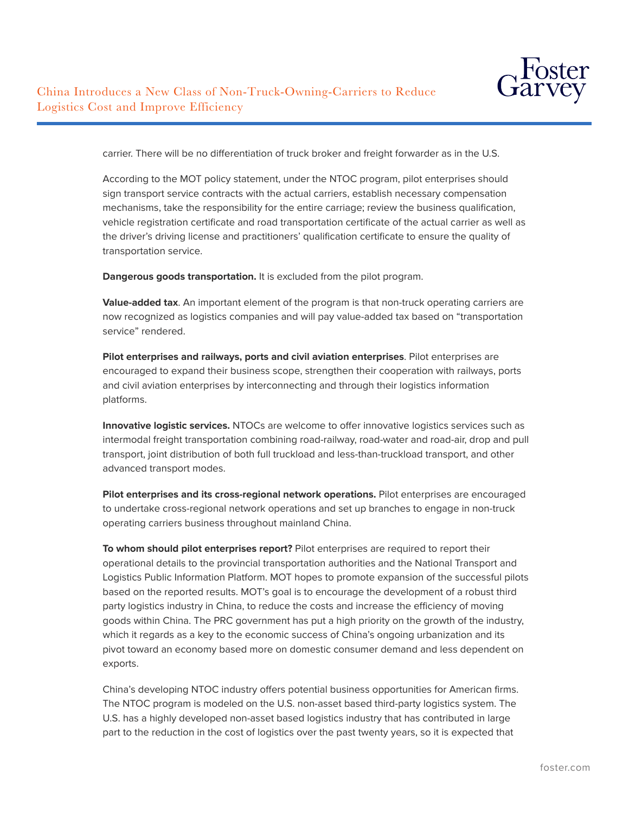

carrier. There will be no differentiation of truck broker and freight forwarder as in the U.S.

According to the MOT policy statement, under the NTOC program, pilot enterprises should sign transport service contracts with the actual carriers, establish necessary compensation mechanisms, take the responsibility for the entire carriage; review the business qualification, vehicle registration certificate and road transportation certificate of the actual carrier as well as the driver's driving license and practitioners' qualification certificate to ensure the quality of transportation service.

**Dangerous goods transportation.** It is excluded from the pilot program.

**Value-added tax**. An important element of the program is that non-truck operating carriers are now recognized as logistics companies and will pay value-added tax based on "transportation service" rendered.

**Pilot enterprises and railways, ports and civil aviation enterprises**. Pilot enterprises are encouraged to expand their business scope, strengthen their cooperation with railways, ports and civil aviation enterprises by interconnecting and through their logistics information platforms.

**Innovative logistic services.** NTOCs are welcome to offer innovative logistics services such as intermodal freight transportation combining road-railway, road-water and road-air, drop and pull transport, joint distribution of both full truckload and less-than-truckload transport, and other advanced transport modes.

**Pilot enterprises and its cross-regional network operations.** Pilot enterprises are encouraged to undertake cross-regional network operations and set up branches to engage in non-truck operating carriers business throughout mainland China.

**To whom should pilot enterprises report?** Pilot enterprises are required to report their operational details to the provincial transportation authorities and the National Transport and Logistics Public Information Platform. MOT hopes to promote expansion of the successful pilots based on the reported results. MOT's goal is to encourage the development of a robust third party logistics industry in China, to reduce the costs and increase the efficiency of moving goods within China. The PRC government has put a high priority on the growth of the industry, which it regards as a key to the economic success of China's ongoing urbanization and its pivot toward an economy based more on domestic consumer demand and less dependent on exports.

China's developing NTOC industry offers potential business opportunities for American firms. The NTOC program is modeled on the U.S. non-asset based third-party logistics system. The U.S. has a highly developed non-asset based logistics industry that has contributed in large part to the reduction in the cost of logistics over the past twenty years, so it is expected that